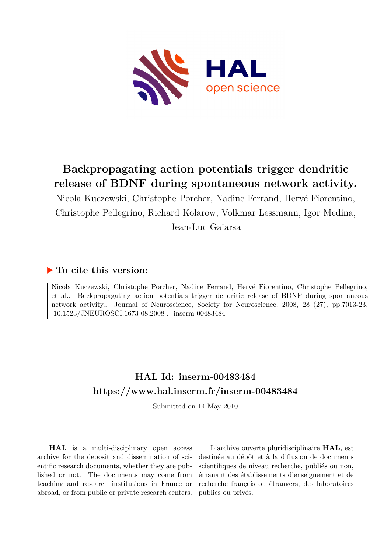

## **Backpropagating action potentials trigger dendritic release of BDNF during spontaneous network activity.**

Nicola Kuczewski, Christophe Porcher, Nadine Ferrand, Hervé Fiorentino, Christophe Pellegrino, Richard Kolarow, Volkmar Lessmann, Igor Medina, Jean-Luc Gaiarsa

### **To cite this version:**

Nicola Kuczewski, Christophe Porcher, Nadine Ferrand, Hervé Fiorentino, Christophe Pellegrino, et al.. Backpropagating action potentials trigger dendritic release of BDNF during spontaneous network activity.. Journal of Neuroscience, Society for Neuroscience, 2008, 28 (27), pp.7013-23.  $10.1523/JNEUROSCI.1673-08.2008$  .  ${i}$  inserm-00483484  $% \left( \delta \right)$ 

### **HAL Id: inserm-00483484 <https://www.hal.inserm.fr/inserm-00483484>**

Submitted on 14 May 2010

**HAL** is a multi-disciplinary open access archive for the deposit and dissemination of scientific research documents, whether they are published or not. The documents may come from teaching and research institutions in France or abroad, or from public or private research centers.

L'archive ouverte pluridisciplinaire **HAL**, est destinée au dépôt et à la diffusion de documents scientifiques de niveau recherche, publiés ou non, émanant des établissements d'enseignement et de recherche français ou étrangers, des laboratoires publics ou privés.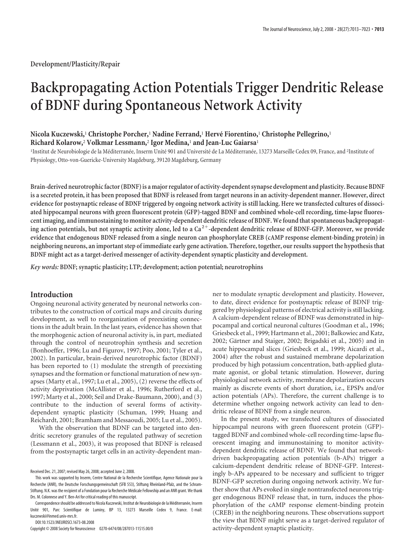# **Backpropagating Action Potentials Trigger Dendritic Release of BDNF during Spontaneous Network Activity**

#### **Nicola Kuczewski,**<sup>1</sup> **Christophe Porcher,**<sup>1</sup> **Nadine Ferrand,**<sup>1</sup> **Herve´ Fiorentino,**<sup>1</sup> **Christophe Pellegrino,**<sup>1</sup> **Richard Kolarow,**<sup>2</sup> **Volkmar Lessmann,**<sup>2</sup> **Igor Medina,**<sup>1</sup> **and Jean-Luc Gaiarsa**<sup>1</sup>

<sup>1</sup>Institut de Neurobiologie de la Méditerranée, Inserm Unité 901 and Université de La Méditerranée, 13273 Marseille Cedex 09, France, and <sup>2</sup>Institute of Physiology, Otto-von-Guericke-University Magdeburg, 39120 Magdeburg, Germany

**Brain-derived neurotrophicfactor (BDNF) is a major regulator of activity-dependent synapse development and plasticity. Because BDNF is a secreted protein, it has been proposed that BDNF is released from target neurons in an activity-dependent manner. However, direct evidence for postsynaptic release of BDNF triggered by ongoing network activity is still lacking. Here we transfected cultures of dissociated hippocampal neurons with green fluorescent protein (GFP)-tagged BDNF and combined whole-cell recording, time-lapse fluorescent imaging, and immunostaining to monitor activity-dependent dendritic release of BDNF. We found that spontaneous backpropagating action potentials, but not synaptic activity alone, led to a Ca <sup>2</sup>-dependent dendritic release of BDNF-GFP. Moreover, we provide evidence that endogenous BDNF released from a single neuron can phosphorylate CREB (cAMP response element-binding protein) in neighboring neurons, an important step of immediate early gene activation. Therefore, together, our results support the hypothesis that BDNF might act as a target-derived messenger of activity-dependent synaptic plasticity and development.**

*Key words:* **BDNF; synaptic plasticity; LTP; development; action potential; neurotrophins**

#### **Introduction**

Ongoing neuronal activity generated by neuronal networks contributes to the construction of cortical maps and circuits during development, as well to reorganization of preexisting connections in the adult brain. In the last years, evidence has shown that the morphogenic action of neuronal activity is, in part, mediated through the control of neurotrophin synthesis and secretion (Bonhoeffer, 1996; Lu and Figurov, 1997; Poo, 2001; Tyler et al., 2002). In particular, brain-derived neurotrophic factor (BDNF) has been reported to (1) modulate the strength of preexisting synapses and the formation or functional maturation of new synapses (Marty et al., 1997; Lu et al., 2005), (2) reverse the effects of activity deprivation (McAllister et al., 1996; Rutherford et al., 1997; Marty et al., 2000; Seil and Drake-Baumann, 2000), and (3) contribute to the induction of several forms of activitydependent synaptic plasticity (Schuman, 1999; Huang and Reichardt, 2001; Bramham and Messaoudi, 2005; Lu et al., 2005).

With the observation that BDNF can be targeted into dendritic secretory granules of the regulated pathway of secretion (Lessmann et al., 2003), it was proposed that BDNF is released from the postsynaptic target cells in an activity-dependent man-

DOI:10.1523/JNEUROSCI.1673-08.2008

Copyright © 2008 Society for Neuroscience 0270-6474/08/287013-11\$15.00/0

ner to modulate synaptic development and plasticity. However, to date, direct evidence for postsynaptic release of BDNF triggered by physiological patterns of electrical activity is still lacking. A calcium-dependent release of BDNF was demonstrated in hippocampal and cortical neuronal cultures (Goodman et al., 1996; Griesbeck et al., 1999; Hartmann et al., 2001; Balkowiec and Katz, 2002; Gärtner and Staiger, 2002; Brigadski et al., 2005) and in acute hippocampal slices (Griesbeck et al., 1999; Aicardi et al., 2004) after the robust and sustained membrane depolarization produced by high potassium concentration, bath-applied glutamate agonist, or global tetanic stimulation. However, during physiological network activity, membrane depolarization occurs mainly as discrete events of short duration, i.e., EPSPs and/or action potentials (APs). Therefore, the current challenge is to determine whether ongoing network activity can lead to dendritic release of BDNF from a single neuron.

In the present study, we transfected cultures of dissociated hippocampal neurons with green fluorescent protein (GFP) tagged BDNF and combined whole-cell recording time-lapse fluorescent imaging and immunostaining to monitor activitydependent dendritic release of BDNF. We found that networkdriven backpropagating action potentials (b-APs) trigger a calcium-dependent dendritic release of BDNF-GFP. Interestingly b-APs appeared to be necessary and sufficient to trigger BDNF-GFP secretion during ongoing network activity. We further show that APs evoked in single nontransfected neurons trigger endogenous BDNF release that, in turn, induces the phosphorylation of the cAMP response element-binding protein (CREB) in the neighboring neurons. These observations support the view that BDNF might serve as a target-derived regulator of activity-dependent synaptic plasticity.

Received Dec. 21, 2007; revised May 26, 2008; accepted June 2, 2008.

This work was supported by Inserm, Centre National de la Recherche Scientifique, Agence Nationale pour la Recherche (ANR), the Deutsche Forschungsgemeinschaft (SFB 553), Stiftung Rheinland-Pfalz, and the Schram-Stiftung. N.K. was the recipient of a Fondation pour la Recherche Médicale Fellowship and an ANR grant. We thank Drs. M. Colonnese and Y. Ben-Ari for critical reading of this manuscript.

Correspondence should be addressed to Nicola Kuczewski, Institut de Neurobiologie de la Méditerranée, Inserm Unité 901, Parc Scientifique de Luminy, BP 13, 13273 Marseille Cedex 9, France. E-mail: kuczewski@inmed.univ-mrs.fr.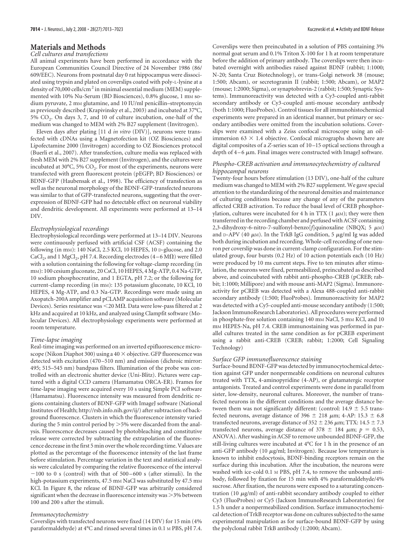#### **Materials and Methods**

#### *Cell cultures and transfections*

All animal experiments have been performed in accordance with the European Communities Council Directive of 24 November 1986 (86/ 609/EEC). Neurons from postnatal day 0 rat hippocampus were dissociated using trypsin and plated on coverslips coated with poly-L-lysine at a density of 70,000 cells/cm<sup>2</sup> in minimal essential medium (MEM) supplemented with 10% Nu-Serum (BD Biosciences), 0.8% glucose, 1 mm sodium pyruvate, 2 mm glutamine, and 10 IU/ml penicillin–streptomycin as previously described (Krapivinsky et al., 2003) and incubated at 37°C, 5%  $CO<sub>2</sub>$ . On days 3, 7, and 10 of culture incubation, one-half of the medium was changed to MEM with 2% B27 supplement (Invitrogen).

Eleven days after plating [11 d *in vitro* (DIV)], neurons were transfected with cDNAs using a Magnetofection kit (OZ Biosciences) and Lipofectamine 2000 (Invitrogen) according to OZ Biosciences protocol (Buerli et al., 2007). After transfection, culture media was replaced with fresh MEM with 2% B27 supplement (Invitrogen), and the cultures were incubated at 30 $^{\circ}$ C, 5% CO<sub>2</sub>. For most of the experiments, neurons were transfected with green fluorescent protein (pEGFP; BD Biosciences) or BDNF-GFP (Haubensak et al., 1998). The efficiency of transfection as well as the neuronal morphology of the BDNF-GFP-transfected neurons was similar to that of GFP-transfected neurons, suggesting that the overexpression of BDNF-GFP had no detectable effect on neuronal viability and dendritic development. All experiments were performed at 13–14 DIV.

#### *Electrophysiological recordings*

Electrophysiological recordings were performed at 13–14 DIV. Neurons were continuously perfused with artificial CSF (ACSF) containing the following (in mM): 140 NaCl, 2.5 KCl, 10 HEPES, 10 D-glucose, and 2.0 CaCl<sub>2</sub>, and 1 MgCl<sub>2</sub>, pH 7.4. Recording electrodes  $(4-6 \text{ M}\Omega)$  were filled with a solution containing the following for voltage-clamp recording (in mM): 100 cesium gluconate, 20 CsCl, 10 HEPES, 4 Mg-ATP, 0.4 Na-GTP, 10 sodium phosphocreatine, and 1 EGTA, pH 7.2; or the following for current-clamp recording (in mM): 135 potassium gluconate, 10 KCl, 10 HEPES, 4 Mg-ATP, and 0.3 Na-GTP. Recordings were made using an Axopatch-200A amplifier and pCLAMP acquisition software (Molecular Devices). Series resistance was  ${<}20\ \mathrm{M}\Omega$ . Data were low-pass filtered at 2 kHz and acquired at 10 kHz, and analyzed using Clampfit software (Molecular Devices). All electrophysiology experiments were performed at room temperature.

#### *Time-lapse imaging*

Real-time imaging was performed on an inverted epifluorescence microscope (Nikon Diaphot 300) using a  $40 \times$  objective. GFP fluorescence was detected with excitation (470 –510 nm) and emission (dichroic mirror: 495; 515–545 nm) bandpass filters. Illumination of the probe was controlled with an electronic shutter device (Uni-Blitz). Pictures were captured with a digital CCD camera (Hamamatsu ORCA-ER). Frames for time-lapse imaging were acquired every 10 s using Simple PCI software (Hamamatsu). Fluorescence intensity was measured from dendritic regions containing clusters of BDNF-GFP with ImageJ software (National Institutes of Health; http://rsb.info.nih.gov/ij/) after subtraction of background fluorescence. Clusters in which the fluorescence intensity varied during the 5 min control period by >5% were discarded from the analysis. Fluorescence decreases caused by photobleaching and constitutive release were corrected by subtracting the extrapolation of the fluorescence decrease in the first 5 min over the whole recording time. Values are plotted as the percentage of the fluorescence intensity of the last frame before stimulation. Percentage variation in the text and statistical analysis were calculated by comparing the relative fluorescence of the interval  $-100$  to 0 s (control) with that of 500–600 s (after stimuli). In the high-potassium experiments, 47.5 mm NaCl was substituted by 47.5 mm KCl. In Figure 8, the release of BDNF-GFP was arbitrarily considered significant when the decrease in fluorescence intensity was  $>$ 3% between 100 and 200 s after the stimuli.

#### *Immunocytochemistry*

Coverslips with transfected neurons were fixed (14 DIV) for 15 min (4% paraformaldehyde) at 4°C and rinsed several times in 0.1 M PBS, pH 7.4. Coverslips were then preincubated in a solution of PBS containing 3% normal goat serum and 0.1% Triton X-100 for 1 h at room temperature before the addition of primary antibody. The coverslips were then incubated overnight with antibodies raised against BDNF (rabbit; 1:1000; N-20; Santa Cruz Biotechnology), or trans-Golgi network 38 (mouse; 1:500; Abcam), or secretogranin II (rabbit; 1:500; Abcam), or MAP2 (mouse; 1:2000; Sigma), or synaptobrevin-2 (rabbit; 1:500; Synaptic Systems). Immunoreactivity was detected with a Cy3-coupled anti-rabbit secondary antibody or Cy3-coupled anti-mouse secondary antibody (both 1:1000; FluoProbes). Control tissues for all immunohistochemical experiments were prepared in an identical manner, but primary or secondary antibodies were omitted from the incubation solutions. Coverslips were examined with a Zeiss confocal microscope using an oilimmersion 63  $\times$  1.4 objective. Confocal micrographs shown here are digital composites of a *Z*-series scan of 10 –15 optical sections through a depth of  $4-6 \mu m$ . Final images were constructed with ImageJ software.

#### *Phospho-CREB activation and immunocytochemistry of cultured hippocampal neurons*

Twenty-four hours before stimulation (13 DIV), one-half of the culture medium was changed to MEM with 2% B27 supplement. We gave special attention to the standardizing of the neuronal densities and maintenance of culturing conditions because any change of any of the parameters affected CREB activation. To reduce the basal level of CREB phosphorylation, cultures were incubated for 4 h in TTX  $(1 \mu M)$ ; they were then transferred in the recording chamber and perfused with ACSF containing 2,3-dihydroxy-6-nitro-7-sulfonyl-benzo[*f*]quinoxaline (NBQX; 5 μM) and D-APV (40  $\mu$ M). In the TrkB IgG condition, 5  $\mu$ g/ml Ig was added both during incubation and recording. Whole-cell recording of one neuron per coverslip was done in current-clamp configuration. For the stimulated group, four bursts (0.2 Hz) of 10 action potentials each (10 Hz) were produced by 10 ms current steps. Five to ten minutes after stimulation, the neurons were fixed, permeabilized, preincubated as described above, and coincubated with rabbit anti-phospho-CREB (pCREB; rabbit; 1:1000; Millipore) and with mouse anti-MAP2 (Sigma). Immunoreactivity for pCREB was detected with a Alexa 488-coupled anti-rabbit secondary antibody (1:500; FluoProbes). Immunoreactivity for MAP2 was detected with a Cy5-coupled anti-mouse secondary antibody (1:500; Jackson ImmunoResearch Laboratories). All procedures were performed in phosphate-free solution containing 140 mm NaCl, 5 mm KCl, and 10 mM HEPES-Na, pH 7.4. CREB immunostaining was performed in parallel cultures treated in the same condition as for pCREB experiment using a rabbit anti-CREB (CREB; rabbit; 1:2000; Cell Signaling Technology)

#### *Surface GFP immunofluorescence staining*

Surface-bound BDNF-GFP was detected by immunocytochemical detection against GFP under nonpermeable conditions on neuronal cultures treated with TTX, 4-aminopyridine (4-AP), or glutamatergic receptor antagonists. Treated and control experiments were done in parallel from sister, low-density, neuronal cultures. Moreover, the number of transfected neurons in the different conditions and the average distance between them was not significantly different: (control: 14.9  $\pm$  5.5 transfected neurons, average distance of 396  $\pm$  218  $\mu$ m; 4-AP: 15.3  $\pm$  6.8 transfected neurons, average distance of 352  $\pm$  236  $\mu$ m; TTX: 14.5  $\pm$  7.3 transfected neurons, average distance of 378  $\pm$  184  $\mu$ m;  $p = 0.53$ , ANOVA). After washing in ACSF to remove unbounded BDNF-GFP, the still-living cultures were incubated at 4°C for 1 h in the presence of an anti-GFP antibody (10  $\mu$ g/ml; Invitrogen). Because low temperature is known to inhibit endocytosis, BDNF-binding receptors remain on the surface during this incubation. After the incubation, the neurons were washed with ice-cold 0.1 M PBS, pH 7.4, to remove the unbound antibody, followed by fixation for 15 min with 4% paraformaldehyde/4% sucrose. After fixation, the neurons were exposed to a saturating concentration (10  $\mu$ g/ml) of anti-rabbit secondary antibody coupled to either Cy3 (FluoProbes) or Cy5 (Jackson ImmunoResearch Laboratories) for 1.5 h under a nonpermeabilized condition. Surface immunocytochemical detection of TrkB receptor was done on cultures subjected to the same experimental manipulation as for surface-bound BDNF-GFP by using the polyclonal rabbit TrkB antibody (1:2000; Abcam).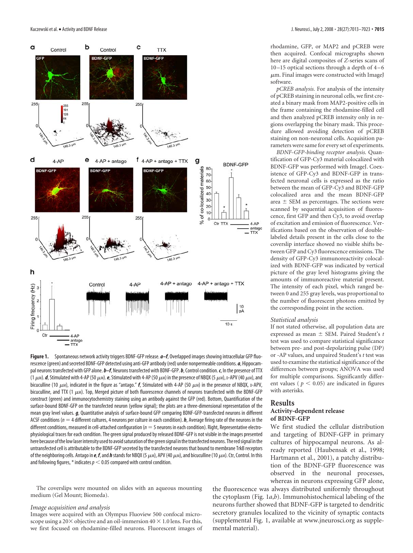

**Figure 1.** Spontaneous network activity triggers BDNF-GFP release. *a–f*, Overlapped images showing intracellular GFP fluorescence (green) and secreted BDNF-GFP detected using anti-GFP antibody (red) under nonpermeable conditions. *a*, Hippocampal neurons transfected with GFP alone. *b–f*, Neurons transfected with BDNF-GFP. *b*, Control condition.*c*, In the presence of TTX (1  $\mu$ *m*). *d*, Stimulated with 4-AP (50  $\mu$ *m*). *e*, Stimulated with 4-AP (50  $\mu$ *m*) in the presence of NBQX (5  $\mu$ *m*),  $D$ -APV (40  $\mu$ *m*), and bicuculline (10  $\mu$ M), indicated in the figure as "antago." **f**, Stimulated with 4-AP (50  $\mu$ M) in the presence of NBQX, D-APV, bicuculline, and TTX (1  $\mu$ m). Top, Merged picture of both fluorescence channels of neurons transfected with the BDNF-GFP construct (green) and immunocytochemistry staining using an antibody against the GFP (red). Bottom, Quantification of the surface-bound BDNF-GFP on the transfected neuron (yellow signal); the plots are a three-dimensional representation of the mean gray level values. *g*, Quantitative analysis of surface-bound GFP comparing BDNF-GFP-transfected neurons in different ACSF conditions ( $n = 4$  different cultures, 4 neurons per culture in each condition). **h**, Average firing rate of the neurons in the different conditions, measured in cell-attached configuration (*n* 5 neurons in each condition). Right, Representative electrophysiological traces for each condition. The green signal produced by released BDNF-GFP is not visible in the images presented here because of the low laser intensity used to avoid saturation of the green signal in the transfected neurons. The red signal in the untransfected cell is attributable to the BDNF-GFP secreted by the transfected neurons that bound to membrane TrkB receptors of the neighboring cells. Antago in  $e, f$ , and  $h$  stands for NBQX (5  $\mu$ M), APV (40  $\mu$ M), and bicuculline (10  $\mu$ M). Ctr, Control. In this and following figures,  $*$  indicates  $p < 0.05$  compared with control condition.

The coverslips were mounted on slides with an aqueous mounting medium (Gel Mount; Biomeda).

#### *Image acquisition and analysis*

Images were acquired with an Olympus Fluoview 500 confocal microscope using a 20 $\times$  objective and an oil-immersion 40  $\times$  1.0 lens. For this, we first focused on rhodamine-filled neurons. Fluorescent images of

rhodamine, GFP, or MAP2 and pCREB were then acquired. Confocal micrographs shown here are digital composites of *Z*-series scans of  $10 - 15$  optical sections through a depth of  $4 - 6$  $\mu$ m. Final images were constructed with ImageJ software.

*pCREB analysis.* For analysis of the intensity of pCREB staining in neuronal cells, we first created a binary mask from MAP2-positive cells in the frame containing the rhodamine-filled cell and then analyzed pCREB intensity only in regions overlapping the binary mask. This procedure allowed avoiding detection of pCREB staining on non-neuronal cells. Acquisition parameters were same for every set of experiments.

*BDNF-GFP-binding receptor analysis.* Quantification of GFP-Cy3 material colocalized with BDNF-GFP was performed with ImageJ. Coexistence of GFP-Cy3 and BDNF-GFP in transfected neuronal cells is expressed as the ratio between the mean of GFP-Cy3 and BDNF-GFP colocalized area and the mean BDNF-GFP area  $\pm$  SEM as percentages. The sections were scanned by sequential acquisition of fluorescence, first GFP and then Cy3, to avoid overlap of excitation and emission of fluorescence. Verifications based on the observation of doublelabeled details present in the cells close to the coverslip interface showed no visible shifts between GFP and Cy3 fluorescence emissions. The density of GFP-Cy3 immunoreactivity colocalized with BDNF-GFP was indicated by vertical picture of the gray level histograms giving the amounts of immunoreactive material present. The intensity of each pixel, which ranged between 0 and 255 gray levels, was proportional to the number of fluorescent photons emitted by the corresponding point in the section.

#### *Statistical analysis*

If not stated otherwise, all population data are expressed as mean  $\pm$  SEM. Paired Student's *t* test was used to compare statistical significance between pre- and post-depolarizing pulse (DP) or -AP values, and unpaired Student's *t* test was used to examine the statistical significance of the differences between groups; ANOVA was used for multiple comparisons. Significantly different values ( $p < 0.05$ ) are indicated in figures with asterisks.

#### **Results**

#### **Activity-dependent release of BDNF-GFP**

We first studied the cellular distribution and targeting of BDNF-GFP in primary cultures of hippocampal neurons. As already reported (Haubensak et al., 1998; Hartmann et al., 2001), a patchy distribution of the BDNF-GFP fluorescence was observed in the neuronal processes, whereas in neurons expressing GFP alone,

the fluorescence was always distributed uniformly throughout the cytoplasm (Fig. 1*a*,*b*). Immunohistochemical labeling of the neurons further showed that BDNF-GFP is targeted to dendritic secretory granules localized to the vicinity of synaptic contacts (supplemental Fig. 1, available at www.jneurosci.org as supplemental material).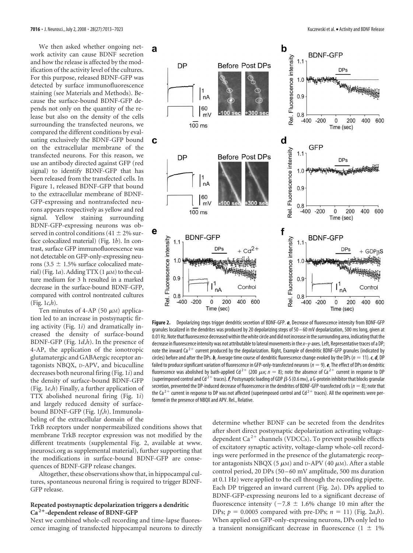We then asked whether ongoing network activity can cause BDNF secretion and how the release is affected by the modification of the activity level of the cultures. For this purpose, released BDNF-GFP was detected by surface immunofluorescence staining (see Materials and Methods). Because the surface-bound BDNF-GFP depends not only on the quantity of the release but also on the density of the cells surrounding the transfected neurons, we compared the different conditions by evaluating exclusively the BDNF-GFP bound on the extracellular membrane of the transfected neurons. For this reason, we use an antibody directed against GFP (red signal) to identify BDNF-GFP that has been released from the transfected cells. In Figure 1, released BDNF-GFP that bound to the extracellular membrane of BDNF-GFP-expressing and nontransfected neurons appears respectively as yellow and red signal. Yellow staining surrounding BDNF-GFP-expressing neurons was observed in control conditions (41  $\pm$  2% surface colocalized material) (Fig. 1*b*). In contrast, surface GFP immunofluorescence was not detectable on GFP-only-expressing neurons (3.5  $\pm$  1.5% surface colocalized material) (Fig. 1*a*). Adding TTX  $(1 \mu M)$  to the culture medium for 3 h resulted in a marked decrease in the surface-bound BDNF-GFP, compared with control nontreated cultures (Fig. 1*c*,*h*).

Ten minutes of 4-AP (50  $\mu$ M) application led to an increase in postsynaptic firing activity (Fig. 1*i*) and dramatically increased the density of surface-bound BDNF-GFP (Fig. 1*d*,*h*). In the presence of 4-AP, the application of the ionotropic glutamatergic and GABAergic receptor antagonists NBQX, D-APV, and bicuculline decreases both neuronal firing (Fig. 1*i*) and the density of surface-bound BDNF-GFP (Fig. 1*e*,*h*) Finally, a further application of TTX abolished neuronal firing (Fig. 1*i*) and largely reduced density of surfacebound BDNF-GFP (Fig. 1*f*,*h*). Immunolabeling of the extracellular domain of the

TrkB receptors under nonpermeabilized conditions shows that membrane TrkB receptor expression was not modified by the different treatments (supplemental Fig. 2, available at www. jneurosci.org as supplemental material), further supporting that the modifications in surface-bound BDNF-GFP are consequences of BDNF-GFP release changes.

Altogether, these observations show that, in hippocampal cultures, spontaneous neuronal firing is required to trigger BDNF-GFP release.

#### **Repeated postsynaptic depolarization triggers a dendritic Ca <sup>2</sup>-dependent release of BDNF-GFP**

Next we combined whole-cell recording and time-lapse fluorescence imaging of transfected hippocampal neurons to directly



**Figure 2.** Depolarizing steps trigger dendritic secretion of BDNF-GFP. *a*, Decrease of fluorescence intensity from BDNF-GFP granules localized in the dendrites was produced by 20 depolarizing steps of 50 – 60 mV depolarization, 500 ms long, given at 0.01 Hz. Note that fluorescence decreased within the white circle and did not increase in the surrounding area, indicating that the decrease in fluorescence intensity was not attributable to lateral movements in the*x–y*-axes. Left, Representative traces of a DP; note the inward Ca<sup>2+</sup> current produced by the depolarization. Right, Example of dendritic BDNF-GFP granules (indicated by circles) before and after the DPs.  $b$ , Average time course of dendritic fluorescence change evoked by the DPs ( $n = 11$ ).  $c$ ,  $d$ , DP failed to produce significant variation of fluorescence in GFP-only-transfected neurons ( $n = 9$ ). **e**, The effect of DPs on dendritic fluorescence was abolished by bath-applied Cd<sup>2+</sup> (200  $\mu$ m;  $n = 8$ ); note the absence of Ca<sup>2+</sup> current in response to DP (superimposed control and Cd<sup>2+</sup> traces). **f**, Postsynaptic loading of GDP  $\beta$ -S (0.6 mm), a G-protein inhibitor that blocks granular secretion, prevented the DP-induced decrease of fluorescence in the dendrites of BDNF-GFP-transfected cells ( $n = 8$ ); note that the Ca<sup>2+</sup> current in response to DP was not affected (superimposed control and Cd<sup>2+</sup> traces). All the experiments were performed in the presence of NBQX and APV. Rel., Relative.

determine whether BDNF can be secreted from the dendrites after short direct postsynaptic depolarization activating voltagedependent Ca<sup>2+</sup> channels (VDCCs). To prevent possible effects of excitatory synaptic activity, voltage-clamp whole-cell recordings were performed in the presence of the glutamatergic receptor antagonists NBQX (5  $\mu$ M) and D-APV (40  $\mu$ M). After a stable control period, 20 DPs (50 – 60 mV amplitude, 500 ms duration at 0.1 Hz) were applied to the cell through the recording pipette. Each DP triggered an inward current (Fig. 2*a*). DPs applied to BDNF-GFP-expressing neurons led to a significant decrease of fluorescence intensity ( $-7.8 \pm 1.6\%$  change 10 min after the DPs;  $p = 0.0005$  compared with pre-DPs;  $n = 11$ ) (Fig. 2*a*,*b*). When applied on GFP-only-expressing neurons, DPs only led to a transient nonsignificant decrease in fluorescence  $(1 \pm 1\%)$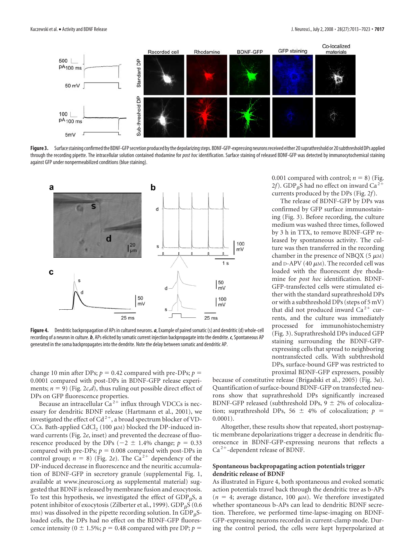

Figure 3. Surface staining confirmed the BDNF-GFP secretion produced by the depolarizing steps. BDNF-GFP-expressing neurons received either 20 suprathreshold or 20 subthreshold DPs applied through the recording pipette. The intracellular solution contained rhodamine for*post hoc* identification. Surface staining of released BDNF-GFP was detected by immunocytochemical staining against GFP under nonpermeabilized conditions (blue staining).



Fiqure 4. Dendritic backpropagation of APs in cultured neurons. *a*, Example of paired somatic (s) and dendritic (d) whole-cell recording of a neuron in culture. *b*, APs elicited by somatic current injection backpropagate into the dendrite.*c*, Spontaneous AP generated in the soma backpropagates into the dendrite. Note the delay between somatic and dendritic AP.

change 10 min after DPs;  $p = 0.42$  compared with pre-DPs;  $p =$ 0.0001 compared with post-DPs in BDNF-GFP release experiments;  $n = 9$ ) (Fig. 2*c*,*d*), thus ruling out possible direct effect of DPs on GFP fluorescence properties.

Because an intracellular  $Ca^{2+}$  influx through VDCCs is necessary for dendritic BDNF release (Hartmann et al., 2001), we investigated the effect of  $Cd^{2+}$ , a broad spectrum blocker of VD-CCs. Bath-applied CdCl<sub>2</sub> (100  $\mu$ <sub>M</sub>) blocked the DP-induced inward currents (Fig. 2*e*, inset) and prevented the decrease of fluorescence produced by the DPs ( $-2 \pm 1.4\%$  change;  $p = 0.33$ compared with pre-DPs;  $p = 0.008$  compared with post-DPs in control group;  $n = 8$ ) (Fig. 2*e*). The Ca<sup>2+</sup> dependency of the DP-induced decrease in fluorescence and the neuritic accumulation of BDNF-GFP in secretory granule (supplemental Fig. 1, available at www.jneurosci.org as supplemental material) suggested that BDNF is released by membrane fusion and exocytosis. To test this hypothesis, we investigated the effect of  $GDP_\beta S$ , a potent inhibitor of exocytosis (Zilberter et al., 1999).  $\mathrm{GDP}_\beta\mathrm{S\, (0.6)}$ mm) was dissolved in the pipette recording solution. In  $\mathrm{GDP}_\beta\mathrm{S}$ loaded cells, the DPs had no effect on the BDNF-GFP fluorescence intensity ( $0 \pm 1.5\%$ ;  $p = 0.48$  compared with pre DP;  $p =$ 

0.001 compared with control;  $n = 8$ ) (Fig. 2f). GDP<sub>B</sub>S had no effect on inward Ca<sup>2+</sup> currents produced by the DPs (Fig. 2*f*).

The release of BDNF-GFP by DPs was confirmed by GFP surface immunostaining (Fig. 3). Before recording, the culture medium was washed three times, followed by 3 h in TTX, to remove BDNF-GFP released by spontaneous activity. The culture was then transferred in the recording chamber in the presence of NBQX  $(5 \mu M)$ and D-APV (40  $\mu$ M). The recorded cell was loaded with the fluorescent dye rhodamine for *post hoc* identification. BDNF-GFP-transfected cells were stimulated either with the standard suprathreshold DPs or with a subthreshold DPs (steps of 5 mV) that did not produced inward  $Ca<sup>2+</sup>$  currents, and the culture was immediately processed for immunohistochemistry (Fig. 3). Suprathreshold DPs induced GFP staining surrounding the BDNF-GFPexpressing cells that spread to neighboring nontransfected cells. With subthreshold DPs, surface-bound GFP was restricted to proximal BDNF-GFP expressers, possibly

because of constitutive release (Brigadski et al., 2005) (Fig. 3*a*). Quantification of surface-bound BDNF-GFP on transfected neurons show that suprathreshold DPs significantly increased BDNF-GFP released (subthreshold DPs,  $9 \pm 2\%$  of colocalization; suprathreshold DPs,  $56 \pm 4\%$  of colocalization;  $p =$ 0.0001).

Altogether, these results show that repeated, short postsynaptic membrane depolarizations trigger a decrease in dendritic fluorescence in BDNF-GFP-expressing neurons that reflects a  $Ca<sup>2+</sup>$ -dependent release of BDNF.

#### **Spontaneous backpropagating action potentials trigger dendritic release of BDNF**

As illustrated in Figure 4, both spontaneous and evoked somatic action potentials travel back through the dendritic tree as b-APs  $(n = 4; \text{ average distance}, 100 \mu\text{m})$ . We therefore investigated whether spontaneous b-APs can lead to dendritic BDNF secretion. Therefore, we performed time-lapse-imaging on BDNF-GFP-expressing neurons recorded in current-clamp mode. During the control period, the cells were kept hyperpolarized at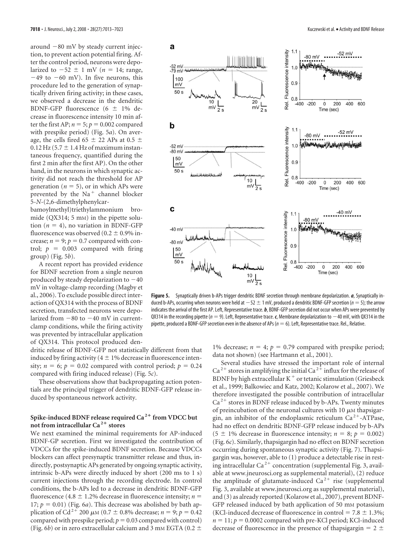around  $-80$  mV by steady current injection, to prevent action potential firing. After the control period, neurons were depolarized to  $-52 \pm 1$  mV ( $n = 14$ ; range,  $-49$  to  $-60$  mV). In five neurons, this procedure led to the generation of synaptically driven firing activity; in these cases, we observed a decrease in the dendritic BDNF-GFP fluorescence  $(6 \pm 1\%$  decrease in fluorescence intensity 10 min after the first AP;  $n = 5$ ;  $p = 0.002$  compared with prespike period) (Fig. 5*a*). On average, the cells fired 65  $\pm$  22 APs at 0.5  $\pm$  $0.12$  Hz (5.7  $\pm$  1.4 Hz of maximum instantaneous frequency, quantified during the first 2 min after the first AP). On the other hand, in the neurons in which synaptic activity did not reach the threshold for AP generation ( $n = 5$ ), or in which APs were prevented by the  $Na<sup>+</sup>$  channel blocker 5-*N*-(2,6-dimethylphenylcar-

bamoylmethyl)triethylammonium bromide (QX314; 5 mM) in the pipette solution  $(n = 4)$ , no variation in BDNF-GFP fluorescence was observed (0.2  $\pm$  0.9% increase;  $n = 9$ ;  $p = 0.7$  compared with control;  $p = 0.003$  compared with firing group) (Fig. 5*b*).

A recent report has provided evidence for BDNF secretion from a single neuron produced by steady depolarization to  $-40$ mV in voltage-clamp recording (Magby et al., 2006). To exclude possible direct interaction of QX314 with the process of BDNF secretion, transfected neurons were depolarized from  $-80$  to  $-40$  mV in currentclamp conditions, while the firing activity was prevented by intracellular application of QX314. This protocol produced den-

dritic release of BDNF-GFP not statistically different from that induced by firing activity ( $4 \pm 1\%$  decrease in fluorescence intensity;  $n = 6$ ;  $p = 0.02$  compared with control period;  $p = 0.24$ compared with firing induced release) (Fig. 5*c*).

These observations show that backpropagating action potentials are the principal trigger of dendritic BDNF-GFP release induced by spontaneous network activity.

#### **Spike-induced BDNF release required Ca <sup>2</sup> from VDCC but not from intracellular Ca <sup>2</sup> stores**

We next examined the minimal requirements for AP-induced BDNF-GP secretion. First we investigated the contribution of VDCCs for the spike-induced BDNF secretion. Because VDCCs blockers can affect presynaptic transmitter release and thus, indirectly, postsynaptic APs generated by ongoing synaptic activity, intrinsic b-APs were directly induced by short (200 ms to 1 s) current injections through the recording electrode. In control conditions, the b-APs led to a decrease in dendritic BDNF-GFP fluorescence (4.8  $\pm$  1.2% decrease in fluorescence intensity; *n* = 17;  $p = 0.01$ ) (Fig. 6*a*). This decrease was abolished by bath application of Cd<sup>2+</sup> 200  $\mu$ <sub>M</sub> (0.7  $\pm$  0.8% decrease; *n* = 9; *p* = 0.42 compared with prespike period;  $p = 0.03$  compared with control) (Fig. 6*b*) or in zero extracellular calcium and 3 mm EGTA (0.2  $\pm$ 



**Figure 5.** Synaptically driven b-APs trigger dendritic BDNF secretion through membrane depolarization. *a*, Synaptically induced b-APs, occurring when neurons were held at  $-52 \pm 1$  mV, produced a dendritic BDNF-GFP secretion ( $n = 5$ ); the arrow indicates the arrival of the first AP. Left, Representative trace. *b*, BDNF-GFP secretion did not occur when APs were prevented by QX314 in the recording pipette ( $n = 9$ ). Left, Representative trace. *c*, Membrane depolarization to  $-40$  mV, with QX314 in the pipette, produced a BDNF-GFP secretion even in the absence of APs (*n* 6). Left, Representative trace. Rel., Relative.

1% decrease;  $n = 4$ ;  $p = 0.79$  compared with prespike period; data not shown) (see Hartmann et al., 2001).

Several studies have stressed the important role of internal  $Ca^{2+}$  stores in amplifying the initial  $Ca^{2+}$  influx for the release of BDNF by high extracellular  $K^+$  or tetanic stimulation (Griesbeck et al., 1999; Balkowiec and Katz, 2002; Kolarow et al., 2007). We therefore investigated the possible contribution of intracellular  $Ca<sup>2+</sup>$  stores in BDNF release induced by b-APs. Twenty minutes of preincubation of the neuronal cultures with 10  $\mu$ M thapsigargin, an inhibitor of the endoplasmic reticulum  $Ca^{2+}$ -ATPase, had no effect on dendritic BDNF-GFP release induced by b-APs (5  $\pm$  1% decrease in fluorescence intensity; *n* = 8; *p* = 0.002) (Fig. 6*c*). Similarly, thapsigargin had no effect on BDNF secretion occurring during spontaneous synaptic activity (Fig. 7). Thapsigargin was, however, able to (1) produce a detectable rise in resting intracellular Ca<sup>2+</sup> concentration (supplemental Fig. 3, available at www.jneurosci.org as supplemental material), (2) reduce the amplitude of glutamate-induced  $Ca^{2+}$  rise (supplemental Fig. 3, available at www.jneurosci.org as supplemental material), and (3) as already reported (Kolarow et al., 2007), prevent BDNF-GFP released induced by bath application of 50 mm potassium (KCl-induced decrease of fluorescence in control =  $7.8 \pm 1.3\%$ ;  $n = 11$ ;  $p = 0.0002$  compared with pre-KCl period; KCl-induced decrease of fluorescence in the presence of thapsigargin  $= 2 \pm$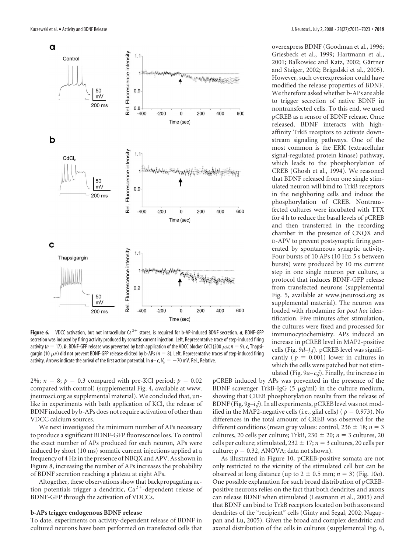

**Figure 6.** VDCC activation, but not intracellular Ca<sup>2+</sup> stores, is required for b-AP-induced BDNF secretion.  $a$ , BDNF-GFP secretion was induced by firing activity produced by somatic current injection. Left, Representative trace of step-induced firing activity ( $n = 17$ ). **b**, BDNF-GFP release was prevented by bath application of the VDCC blocker CdCl (200  $\mu$ *m*;  $n = 9$ ). **c**, Thapsigargin (10  $\mu$ <sub>M</sub>) did not prevent BDNF-GFP release elicited by b-APs ( $n = 8$ ). Left, Representative traces of step-induced firing activity. Arrows indicate the arrival of the first action potential. In  $a-c$ ,  $V<sub>h</sub> = -70$  mV. Rel., Relative.

2%;  $n = 8$ ;  $p = 0.3$  compared with pre-KCl period;  $p = 0.02$ compared with control) (supplemental Fig. 4, available at www. jneurosci.org as supplemental material). We concluded that, unlike in experiments with bath application of KCl, the release of BDNF induced by b-APs does not require activation of other than VDCC calcium sources.

We next investigated the minimum number of APs necessary to produce a significant BDNF-GFP fluorescence loss. To control the exact number of APs produced for each neuron, APs were induced by short (10 ms) somatic current injections applied at a frequency of 4 Hz in the presence of NBQX and APV. As shown in Figure 8, increasing the number of APs increases the probability of BDNF secretion reaching a plateau at eight APs.

Altogether, these observations show that backpropagating action potentials trigger a dendritic,  $Ca^{2+}$ -dependent release of BDNF-GFP through the activation of VDCCs.

#### **b-APs trigger endogenous BDNF release**

To date, experiments on activity-dependent release of BDNF in cultured neurons have been performed on transfected cells that overexpress BDNF (Goodman et al., 1996; Griesbeck et al., 1999; Hartmann et al., 2001; Balkowiec and Katz, 2002; Gärtner and Staiger, 2002; Brigadski et al., 2005). However, such overexpression could have modified the release properties of BDNF. We therefore asked whether b-APs are able to trigger secretion of native BDNF in nontransfected cells. To this end, we used pCREB as a sensor of BDNF release. Once released, BDNF interacts with highaffinity TrkB receptors to activate downstream signaling pathways. One of the most common is the ERK (extracellular signal-regulated protein kinase) pathway, which leads to the phosphorylation of CREB (Ghosh et al., 1994). We reasoned that BDNF released from one single stimulated neuron will bind to TrkB receptors in the neighboring cells and induce the phosphorylation of CREB. Nontransfected cultures were incubated with TTX for 4 h to reduce the basal levels of pCREB and then transferred in the recording chamber in the presence of CNQX and D-APV to prevent postsynaptic firing generated by spontaneous synaptic activity. Four bursts of 10 APs (10 Hz; 5 s between bursts) were produced by 10 ms current step in one single neuron per culture, a protocol that induces BDNF-GFP release from transfected neurons (supplemental Fig. 5, available at www.jneurosci.org as supplemental material). The neuron was loaded with rhodamine for *post hoc* identification. Five minutes after stimulation, the cultures were fixed and processed for immunocytochemistry. APs induced an increase in pCREB level in MAP2-positive cells (Fig. 9*d–f*,*j*). pCREB level was significantly ( $p = 0.001$ ) lower in cultures in which the cells were patched but not stimulated (Fig. 9*a– c*,*j*). Finally, the increase in

pCREB induced by APs was prevented in the presence of the BDNF scavenger TrkB-IgG (5  $\mu$ g/ml) in the culture medium, showing that CREB phosphorylation results from the release of BDNF (Fig. 9*g–i*,*j*). In all experiments, pCREB level was not modified in the MAP2-negative cells (i.e., glial cells) ( $p = 0.973$ ). No differences in the total amount of CREB was observed for the different conditions (mean gray values: control,  $236 \pm 18$ ;  $n = 3$ cultures, 20 cells per culture; TrkB,  $230 \pm 20$ ;  $n = 3$  cultures, 20 cells per culture; stimulated,  $232 \pm 17$ ;  $n = 3$  cultures, 20 cells per culture;  $p = 0.32$ , ANOVA; data not shown).

As illustrated in Figure 10, pCREB-positive somata are not only restricted to the vicinity of the stimulated cell but can be observed at long distance (up to  $2 \pm 0.5$  mm;  $n = 3$ ) (Fig. 10*a*). One possible explanation for such broad distribution of pCREBpositive neurons relies on the fact that both dendrites and axons can release BDNF when stimulated (Lessmann et al., 2003) and that BDNF can bind to TrkB receptors located on both axons and dendrites of the "recipient" cells (Ginty and Segal, 2002; Nagappan and Lu, 2005). Given the broad and complex dendritic and axonal distribution of the cells in cultures (supplemental Fig. 6,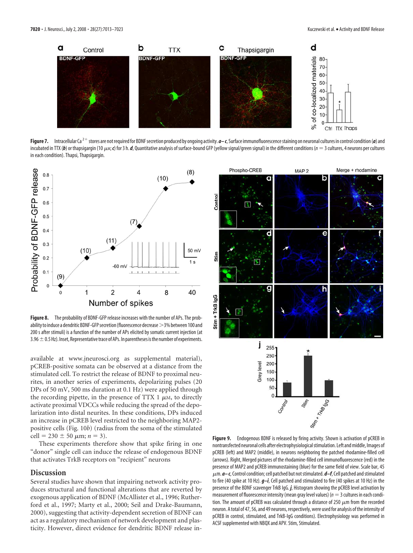

Figure 7. Intracellular Ca<sup>2+</sup> stores are not required for BDNF secretion produced by ongoing activity.  $a-c$ , Surface immunofluorescence staining on neuronal cultures in control condition (*a*) and incubated in TTX (b) or thapsigargin (10  $\mu$ *m*; c) for 3 h. *d*, Quantitative analysis of surface-bound GFP (yellow signal/green signal) in the different conditions ( $n = 3$  cultures, 4 neurons per cultures in each condition). Thapsi, Thapsigargin.



**Figure 8.** The probability of BDNF-GFP release increases with the number of APs. The probability to induce a dendritic BDNF-GFP secretion (fluorescence decrease  $>$ 3% between 100 and 200 s after stimuli) is a function of the number of APs elicited by somatic current injection (at  $3.96\pm0.5$  Hz). Inset, Representative trace of APs. In parentheses is the number of experiments.

available at www.jneurosci.org as supplemental material), pCREB-positive somata can be observed at a distance from the stimulated cell. To restrict the release of BDNF to proximal neurites, in another series of experiments, depolarizing pulses (20 DPs of 50 mV, 500 ms duration at 0.1 Hz) were applied through the recording pipette, in the presence of TTX 1  $\mu$ M, to directly activate proximal VDCCs while reducing the spread of the depolarization into distal neurites. In these conditions, DPs induced an increase in pCREB level restricted to the neighboring MAP2 positive cells (Fig. 10*b*) (radius from the soma of the stimulated cell =  $230 \pm 50 \ \mu \text{m}; n = 3$ ).

These experiments therefore show that spike firing in one "donor" single cell can induce the release of endogenous BDNF that activates TrkB receptors on "recipient" neurons

#### **Discussion**

Several studies have shown that impairing network activity produces structural and functional alterations that are reverted by exogenous application of BDNF (McAllister et al., 1996; Rutherford et al., 1997; Marty et al., 2000; Seil and Drake-Baumann, 2000), suggesting that activity-dependent secretion of BDNF can act as a regulatory mechanism of network development and plasticity. However, direct evidence for dendritic BDNF release in-



**Figure 9.** Endogenous BDNF is released by firing activity. Shown is activation of pCREB in nontransfected neuronal cells after electrophysiological stimulation. Left and middle, Images of pCREB (left) and MAP2 (middle), in neurons neighboring the patched rhodamine-filled cell (arrows). Right, Merged pictures of the rhodamine-filled cell immunofluorescence (red) in the presence of MAP2 and pCREB immunostaining (blue) for the same field of view. Scale bar, 45  $μ$ m. **a– c**, Control condition; cell patched but not stimulated. **d–f**, Cell patched and stimulated to fire (40 spike at 10 Hz). *g–i*, Cell patched and stimulated to fire (40 spikes at 10 Hz) in the presence of the BDNF scavenger TrkB IgG. *j*, Histogram showing the pCREB level activation by measurement of fluorescence intensity (mean gray level values) ( $n = 3$  cultures in each condition. The amount of pCREB was calculated through a distance of 250  $\mu$ m from the recorded neuron. A total of 47, 56, and 49 neurons, respectively, were used for analysis of the intensity of pCREB in control, stimulated, and TrkB-IgG conditions). Electrophysiology was performed in ACSF supplemented with NBQX and APV. Stim, Stimulated.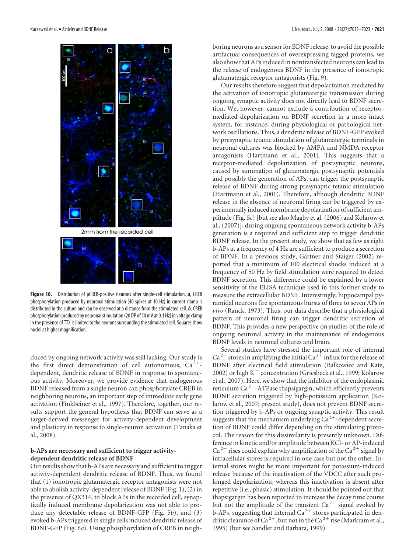

**Figure 10.** Distribution of pCREB-positive neurons after single-cell stimulation. *a*, CREB phosphorylation produced by neuronal stimulation (40 spikes at 10 Hz) in current clamp is distributed in the culture and can be observed at a distance from the stimulated cell. *b*, CREB phosphorylation produced by neuronal stimulation (20 DP of 50 mV at 0.1 Hz) in voltage clamp in the presence of TTX is limited to the neurons surrounding the stimulated cell. Squares show nuclei at higher magnification.

duced by ongoing network activity was still lacking. Our study is the first direct demonstration of cell autonomous,  $Ca^{2+}$ dependent, dendritic release of BDNF in response to spontaneous activity. Moreover, we provide evidence that endogenous BDNF released from a single neuron can phosphorylate CREB in neighboring neurons, an important step of immediate early gene activation (Finkbeiner et al., 1997). Therefore, together, our results support the general hypothesis that BDNF can serve as a target-derived messenger for activity-dependent development and plasticity in response to single-neuron activation (Tanaka et al., 2008).

#### **b-APs are necessary and sufficient to trigger activitydependent dendritic release of BDNF**

Our results show that b-APs are necessary and sufficient to trigger activity-dependent dendritic release of BDNF. Thus, we found that (1) ionotropic glutamatergic receptor antagonists were not able to abolish activity-dependent release of BDNF (Fig. 1), (2) in the presence of QX314, to block APs in the recorded cell, synaptically induced membrane depolarization was not able to produce any detectable release of BDNF-GFP (Fig. 5*b*), and (3) evoked b-APs triggered in single cells induced dendritic release of BDNF-GFP (Fig. 6*a*). Using phosphorylation of CREB in neighboring neurons as a sensor for BDNF release, to avoid the possible artifactual consequences of overexpressing tagged proteins, we also show that APs induced in nontransfected neurons can lead to the release of endogenous BDNF in the presence of ionotropic glutamatergic receptor antagonists (Fig. 9).

Our results therefore suggest that depolarization mediated by the activation of ionotropic glutamatergic transmission during ongoing synaptic activity does not directly lead to BDNF secretion. We, however, cannot exclude a contribution of receptormediated depolarization on BDNF secretion in a more intact system, for instance, during physiological or pathological network oscillations. Thus, a dendritic release of BDNF-GFP evoked by presynaptic tetanic stimulation of glutamatergic terminals in neuronal cultures was blocked by AMPA and NMDA receptor antagonists (Hartmann et al., 2001). This suggests that a receptor-mediated depolarization of postsynaptic neurons, caused by summation of glutamatergic postsynaptic potentials and possibly the generation of APs, can trigger the postsynaptic release of BDNF during strong presynaptic tetanic stimulation (Hartmann et al., 2001). Therefore, although dendritic BDNF release in the absence of neuronal firing can be triggered by experimentally induced membrane depolarization of sufficient amplitude (Fig. 5*c*) [but see also Magby et al. (2006) and Kolarow et al., (2007)], during ongoing spontaneous network activity b-APs generation is a required and sufficient step to trigger dendritic BDNF release. In the present study, we show that as few as eight b-APs at a frequency of 4 Hz are sufficient to produce a secretion of BDNF. In a previous study, Gärtner and Staiger (2002) reported that a minimum of 100 electrical shocks induced at a frequency of 50 Hz by field stimulation were required to detect BDNF secretion. This difference could be explained by a lower sensitivity of the ELISA technique used in this former study to measure the extracellular BDNF. Interestingly, hippocampal pyramidal neurons fire spontaneous bursts of three to seven APs *in vivo* (Ranck, 1973). Thus, our data describe that a physiological pattern of neuronal firing can trigger dendritic secretion of BDNF. This provides a new perspective on studies of the role of ongoing neuronal activity in the maintenance of endogenous BDNF levels in neuronal cultures and brain.

Several studies have stressed the important role of internal  $Ca^{2+}$  stores in amplifying the initial  $Ca^{2+}$  influx for the release of BDNF after electrical field stimulation (Balkowiec and Katz, 2002) or high  $K^+$  concentration (Griesbeck et al., 1999; Kolarow et al., 2007). Here, we show that the inhibitor of the endoplasmic reticulum Ca<sup>2+</sup>-ATPase thapsigargin, which efficiently prevents BDNF secretion triggered by high-potassium application (Kolarow et al., 2007; present study), does not prevent BDNF secretion triggered by b-APs or ongoing synaptic activity. This result suggests that the mechanism underlying  $Ca^{2+}$ -dependent secretion of BDNF could differ depending on the stimulating protocol. The reason for this dissimilarity is presently unknown. Difference in kinetic and/or amplitude between KCl- or AP-induced  $Ca<sup>2+</sup>$  rises could explain why amplification of the Ca<sup>2+</sup> signal by intracellular stores is required in one case but not the other. Internal stores might be more important for potassium-induced release because of the inactivation of the VDCC after such prolonged depolarization, whereas this inactivation is absent after repetitive (i.e., phasic) stimulation. It should be pointed out that thapsigargin has been reported to increase the decay time course but not the amplitude of the transient  $Ca^{2+}$  signal evoked by b-APs, suggesting that internal Ca<sup>2+</sup> stores participated in dendritic clearance of Ca<sup>2+</sup>, but not in the Ca<sup>2+</sup> rise (Markram et al., 1995) (but see Sandler and Barbara, 1999).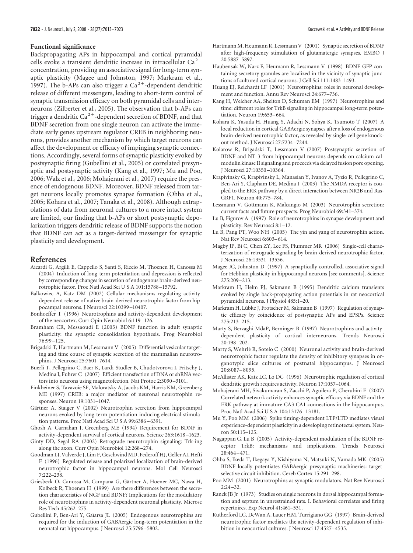#### **Functional significance**

Backpropagating APs in hippocampal and cortical pyramidal cells evoke a transient dendritic increase in intracellular  $Ca^{2+}$ concentration, providing an associative signal for long-term synaptic plasticity (Magee and Johnston, 1997; Markram et al., 1997). The b-APs can also trigger a  $Ca^{2+}$ -dependent dendritic release of different messengers, leading to short-term control of synaptic transmission efficacy on both pyramidal cells and interneurons (Zilberter et al., 2005). The observation that b-APs can trigger a dendritic Ca<sup>2+</sup>-dependent secretion of BDNF, and that BDNF secretion from one single neuron can activate the immediate early genes upstream regulator CREB in neighboring neurons, provides another mechanism by which target neurons can affect the development or efficacy of impinging synaptic connections. Accordingly, several forms of synaptic plasticity evoked by postsynaptic firing (Gubellini et al., 2005) or correlated presynaptic and postsynaptic activity (Kang et al., 1997; Mu and Poo, 2006; Walz et al., 2006; Mohajerani et al., 2007) require the presence of endogenous BDNF. Moreover, BDNF released from target neurons locally promotes synapse formation (Ohba et al., 2005; Kohara et al., 2007; Tanaka et al., 2008). Although extrapolations of data from neuronal cultures to a more intact system are limited, our finding that b-APs or short postsynaptic depolarization triggers dendritic release of BDNF supports the notion that BDNF can act as a target-derived messenger for synaptic plasticity and development.

#### **References**

- Aicardi G, Argilli E, Cappello S, Santi S, Riccio M, Thoenen H, Canossa M (2004) Induction of long-term potentiation and depression is reflected by corresponding changes in secretion of endogenous brain-derived neurotrophic factor. Proc Natl Acad Sci U S A 101:15788 –15792.
- Balkowiec A, Katz DM (2002) Cellular mechanisms regulating activitydependent release of native brain-derived neurotrophic factor from hippocampal neurons. J Neurosci 22:10399 –10407.
- Bonhoeffer T (1996) Neurotrophins and activity-dependent development of the neocortex. Curr Opin Neurobiol 6:119 –126.
- Bramham CR, Messaoudi E (2005) BDNF function in adult synaptic plasticity: the synaptic consolidation hypothesis. Prog Neurobiol 76:99 –125.
- Brigadski T, Hartmann M, Lessmann V (2005) Differential vesicular targeting and time course of synaptic secretion of the mammalian neurotrophins. J Neurosci 25:7601–7614.
- Buerli T, Pellegrino C, Baer K, Lardi-Studler B, Chudotvorova I, Fritschy J, Medina I, Fuhrer C (2007) Efficient transfection of DNA or shRNA vectors into neurons using magnetofection. Nat Protoc 2:3090 –3101.
- Finkbeiner S, Tavazoie SF, Maloratsky A, Jacobs KM, Harris KM, Greenberg ME (1997) CREB: a major mediator of neuronal neurotrophin responses. Neuron 19:1031–1047.
- Gärtner A, Staiger V (2002) Neurotrophin secretion from hippocampal neurons evoked by long-term-potentiation-inducing electrical stimulation patterns. Proc Natl Acad Sci U S A 99:6386-6391.
- Ghosh A, Carnahan J, Greenberg ME (1994) Requirement for BDNF in activity-dependent survival of cortical neurons. Science 263:1618 –1623.
- Ginty DD, Segal RA (2002) Retrograde neurotrophin signaling: Trk-ing along the axon. Curr Opin Neurobiol 12:268 –274.
- Goodman LJ, Valverde J, Lim F, Geschwind MD, Federoff HJ, Geller AI, Hefti F (1996) Regulated release and polarized localization of brain-derived neurotrophic factor in hippocampal neurons. Mol Cell Neurosci 7:222–238.
- Griesbeck O, Canossa M, Campana G, Gärtner A, Hoener MC, Nawa H, Kolbeck R, Thoenen H (1999) Are there differences between the secretion characteristics of NGF and BDNF? Implications for the modulatory role of neurotrophins in activity-dependent neuronal plasticity. Microsc Res Tech 45:262–275.
- Gubellini P, Ben-Ari Y, Gaïarsa JL (2005) Endogenous neurotrophins are required for the induction of GABAergic long-term potentiation in the neonatal rat hippocampus. J Neurosci 25:5796 –5802.
- Hartmann M, Heumann R, Lessmann V (2001) Synaptic secretion of BDNF after high-frequency stimulation of glutamatergic synapses. EMBO J 20:5887–5897.
- Haubensak W, Narz F, Heumann R, Lessmann V (1998) BDNF-GFP containing secretory granules are localized in the vicinity of synaptic junctions of cultured cortical neurons. J Cell Sci 111:1483–1493.
- Huang EJ, Reichardt LF (2001) Neurotrophins: roles in neuronal development and function. Annu Rev Neurosci 24:677–736.
- Kang H, Welcher AA, Shelton D, Schuman EM (1997) Neurotrophins and time: different roles for TrkB signaling in hippocampal long-term potentiation. Neuron 19:653– 664.
- Kohara K, Yasuda H, Huang Y, Adachi N, Sohya K, Tsumoto T (2007) A local reduction in cortical GABAergic synapses after a loss of endogenous brain-derived neurotrophic factor, as revealed by single-cell gene knockout method. J Neurosci 27:7234 –7244.
- Kolarow R, Brigadski T, Lessmann V (2007) Postsynaptic secretion of BDNF and NT-3 from hippocampal neurons depends on calcium calmodulin kinase II signaling and proceeds via delayed fusion pore opening. J Neurosci 27:10350 –10364.
- Krapivinsky G, Krapivinsky L, Manasian Y, Ivanov A, Tyzio R, Pellegrino C, Ben-Ari Y, Clapham DE, Medina I (2003) The NMDA receptor is coupled to the ERK pathway by a direct interaction between NR2B and Ras-GRF1. Neuron 40:775–784.
- Lessmann V, Gottmann K, Malcangio M (2003) Neurotrophin secretion: current facts and future prospects. Prog Neurobiol 69:341–374.
- Lu B, Figurov A (1997) Role of neurotrophins in synapse development and plasticity. Rev Neurosci 8:1–12.
- Lu B, Pang PT, Woo NH (2005) The yin and yang of neurotrophin action. Nat Rev Neurosci 6:603– 614.
- Magby JP, Bi C, Chen ZY, Lee FS, Plummer MR (2006) Single-cell characterization of retrograde signaling by brain-derived neurotrophic factor. J Neurosci 26:13531–13536.
- Magee JC, Johnston D (1997) A synaptically controlled, associative signal for Hebbian plasticity in hippocampal neurons [see comments]. Science 275:209 –213.
- Markram H, Helm PJ, Sakmann B (1995) Dendritic calcium transients evoked by single back-propagating action potentials in rat neocortical pyramidal neurons. J Physiol 485:1–20.
- Markram H, Lübke J, Frotscher M, Sakmann B (1997) Regulation of synaptic efficacy by coincidence of postsynaptic APs and EPSPs. Science 275:213–215.
- Marty S, Berzaghi MdaP, Berninger B (1997) Neurotrophins and activitydependent plasticity of cortical interneurons. Trends Neurosci 20:198 –202.
- Marty S, Wehrlé R, Sotelo C (2000) Neuronal activity and brain-derived neurotrophic factor regulate the density of inhibitory synapses in organotypic slice cultures of postnatal hippocampus. J Neurosci 20:8087– 8095.
- McAllister AK, Katz LC, Lo DC (1996) Neurotrophic regulation of cortical dendritic growth requires activity. Neuron 17:1057–1064.
- Mohajerani MH, Sivakumaran S, Zacchi P, Aguilera P, Cherubini E (2007) Correlated network activity enhances synaptic efficacy via BDNF and the ERK pathway at immature CA3 CA1 connections in the hippocampus. Proc Natl Acad Sci U S A 104:13176 –13181.
- Mu Y, Poo MM (2006) Spike timing-dependent LTP/LTD mediates visual experience-dependent plasticity in a developing retinotectal system. Neuron 50:115–125.
- Nagappan G, Lu B (2005) Activity-dependent modulation of the BDNF receptor TrkB: mechanisms and implications. Trends Neurosci 28:464 – 471.
- Ohba S, Ikeda T, Ikegaya Y, Nishiyama N, Matsuki N, Yamada MK (2005) BDNF locally potentiates GABAergic presynaptic machineries: targetselective circuit inhibition. Cereb Cortex 15:291–298.
- Poo MM (2001) Neurotrophins as synaptic modulators. Nat Rev Neurosci  $2:24 - 32.$
- Ranck JB Jr (1973) Studies on single neurons in dorsal hippocampal formation and septum in unrestrained rats. I. Behavioral correlates and firing repertoires. Exp Neurol 41:461–531.
- Rutherford LC, DeWan A, Lauer HM, Turrigiano GG (1997) Brain-derived neurotrophic factor mediates the activity-dependent regulation of inhibition in neocortical cultures. J Neurosci 17:4527– 4535.